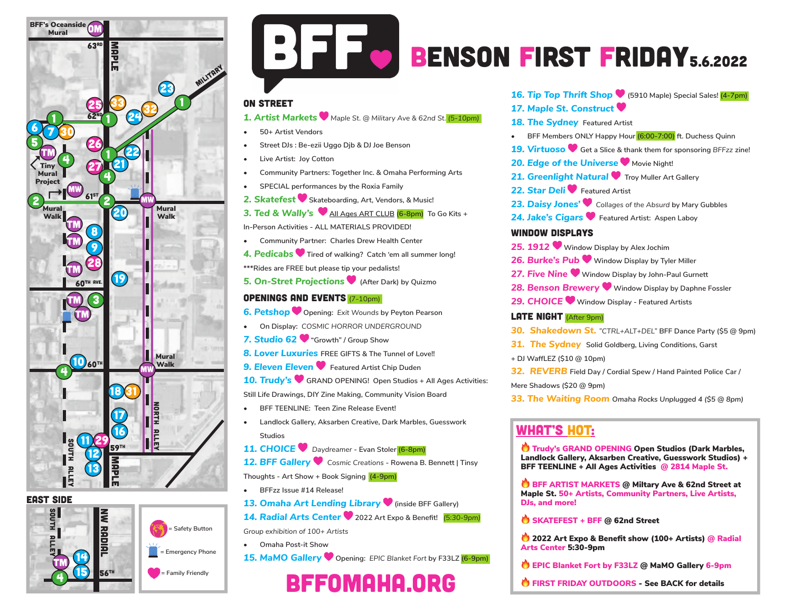

#### EAST side





**Safety Button** 

# BFF.

## BENSON FIRST FRIDAY5.6.2022

#### ON STREET

*1. Artist Markets Maple St. @ Military Ave & 62nd St. (5-10pm)*

- **• 50+ Artist Vendors**
- **• Street DJs : Be-ezii Uggo Djb & DJ Joe Benson**
- **• Live Artist: Joy Cotton**
- **• Community Partners: Together Inc. & Omaha Performing Arts**
- **• SPECIAL performances by the Roxia Family**
- *2. Skatefest* **Skateboarding, Art, Vendors, & Music!**
- **3. Ted & Wally's** All Ages ART CLUB (6-8pm) To Go Kits +
- **In-Person Activities ALL MATERIALS PROVIDED!**
- **• Community Partner: Charles Drew Health Center**
- *4. Pedicabs* **Tired of walking? Catch 'em all summer long!**
- **\*\*\*Rides are FREE but please tip your pedalists!**
- *5. On-Stret Projections* **(After Dark) by Quizmo**

#### Openings and Events (7-10pm)

- *6. Petshop* **Opening:** *Exit Wounds* **by Peyton Pearson**
- **• On Display:** *COSMIC HORROR UNDERGROUND*
- *7. Studio 62* **"Growth" / Group Show**
- *8. Lover Luxuries* **FREE GIFTS & The Tunnel of Love!!**
- **9. Eleven Eleven V** Featured Artist Chip Duden
- *10. Trudy's* **GRAND OPENING! Open Studios + All Ages Activities:**
- **Still Life Drawings, DIY Zine Making, Community Vision Board**
- **• BFF TEENLINE: Teen Zine Release Event!**
- **• Landlock Gallery, Aksarben Creative, Dark Marbles, Guesswork Studios**
- *11. CHOICE Daydreamer* **Evan Stoler (6-8pm)**
- *12. BFF Gallery Cosmic Creations* **Rowena B. Bennett | Tinsy Thoughts - Art Show + Book Signing (4-9pm)**
- **• BFFzz Issue #14 Release!**
- 13. Omaha Art Lending Library **V** (inside BFF Gallery)
- *14. Radial Arts Center* **2022 Art Expo & Benefit!** *(5:30-9pm)*
- *Group exhibition of 100+ Artists*
	- **• Omaha Post-it Show**
- *15. MaMO Gallery* **Opening:** *EPIC Blanket Fort* **by F33LZ (6-9pm)**

## bffomaha.org

*16. Tip Top Thrift Shop* **(5910 Maple) Special Sales! (4-7pm)**

- *17. Maple St. Construct*
- **18. The Sydney** Featured Artist
- **• BFF Members ONLY Happy Hour (6:00-7:00) ft. Duchess Quinn**
- *19. Virtuoso* **Get a Slice & thank them for sponsoring** *BFFzz* **zine!**
- **20. Edge of the Universe Mergion Night!**
- **21. Greenlight Natural •** Troy Muller Art Gallery
- 22. Star Deli<sup> D</sup> Featured Artist
- *23. Daisy Jones' Collages of the Absurd* **by Mary Gubbles**
- *24. Jake's Cigars* **Featured Artist: Aspen Laboy**

#### WINDOW DISPLAYS

- *25. 1912* **Window Display by Alex Jochim**
- *26. Burke's Pub* **Window Display by Tyler Miller**
- *27. Five Nine* **Window Display by John-Paul Gurnett**
- *28. Benson Brewery* **Window Display by Daphne Fossler**
- *29. CHOICE* **Window Display Featured Artists**

#### LATE NIGHT (After 9pm)

- *30. Shakedown St. "CTRL+ALT+DEL"* **BFF Dance Party (\$5 @ 9pm)**
- *31. The Sydney* **Solid Goldberg, Living Conditions, Garst**
- **+ DJ WaffLEZ (\$10 @ 10pm)**
- *32. REVERB* **Field Day / Cordial Spew / Hand Painted Police Car /**

#### **Mere Shadows (\$20 @ 9pm)**

*33. The Waiting Room Omaha Rocks Unplugged 4 (\$5 @ 8pm)* 

### WHAT'S HOT:

Trudy's GRAND OPENING Open Studios (Dark Marbles, Landlock Gallery, Aksarben Creative, Guesswork Studios) + BFF TEENLINE + All Ages Activities @ 2814 Maple St.

BFF ARTIST MARKETS @ Miltary Ave & 62nd Street at Maple St. 50+ Artists, Community Partners, Live Artists, DJs, and more!

SKATEFEST + BFF @ 62nd Street

<sup>1</sup> 2022 Art Expo & Benefit show (100+ Artists) @ Radial Arts Center 5:30-9pm

- EPIC Blanket Fort by F33LZ @ MaMO Gallery 6-9pm
- **O** FIRST FRIDAY OUTDOORS See BACK for details